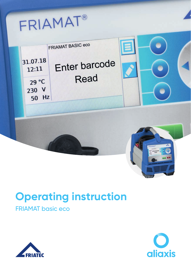# FRIAMAT®



## **Operating instruction**

## FRIAMAT basic eco



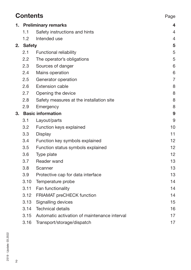|      | <b>Contents</b><br>Page    |                                              |                |
|------|----------------------------|----------------------------------------------|----------------|
| 1. . | <b>Preliminary remarks</b> |                                              | 4              |
|      | 1.1                        | Safety instructions and hints                | 4              |
|      | 1.2                        | Intended use                                 | $\overline{4}$ |
| 2.   | <b>Safety</b>              |                                              | 5              |
|      | 2.1                        | Functional reliability                       | 5              |
|      | 2.2                        | The operator's obligations                   | 5              |
|      | 2.3                        | Sources of danger                            | 6              |
|      | 2.4                        | Mains operation                              | 6              |
|      | 2.5                        | Generator operation                          | $\overline{7}$ |
|      | 2.6                        | Extension cable                              | 8              |
|      | 2.7                        | Opening the device                           | 8              |
|      | 2.8                        | Safety measures at the installation site     | 8              |
|      | 2.9                        | Emergency                                    | 8              |
| З.   | <b>Basic information</b>   |                                              | 9              |
|      | 3.1                        | Layout/parts                                 | 9              |
|      | 3.2                        | Function keys explained                      | 10             |
|      | 3.3                        | Display                                      | 11             |
|      | 3.4                        | Function key symbols explained               | 12             |
|      | 3.5                        | Function status symbols explained            | 12             |
|      | 3.6                        | Type plate                                   | 12             |
|      | 3.7                        | Reader wand                                  | 13             |
|      | 3.8                        | Scanner                                      | 13             |
|      | 3.9                        | Protective cap for data interface            | 13             |
|      | 3.10                       | Temperature probe                            | 14             |
|      | 3.11                       | Fan functionality                            | 14             |
|      | 3.12                       | FRIAMAT preCHECK function                    | 14             |
|      | 3.13                       | Signalling devices                           | 15             |
|      | 3.14                       | <b>Technical details</b>                     | 16             |
|      | 3.15                       | Automatic activation of maintenance interval | 17             |
|      | 3.16                       | Transport/storage/dispatch                   | 17             |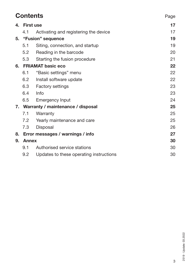|    | <b>Contents</b><br>Page              |                                         |    |
|----|--------------------------------------|-----------------------------------------|----|
| 4. | <b>First use</b>                     |                                         |    |
|    | 4.1                                  | Activating and registering the device   | 17 |
|    |                                      | 5. "Fusion" sequence                    | 19 |
|    | 5.1                                  | Siting, connection, and startup         | 19 |
|    | 5.2                                  | Reading in the barcode                  | 20 |
|    | 5.3                                  | Starting the fusion procedure           | 21 |
|    | 6. FRIAMAT basic eco                 |                                         | 22 |
|    | 6.1                                  | "Basic settings" menu                   | 22 |
|    | 6.2                                  | Install software update                 | 22 |
|    | 6.3                                  | <b>Factory settings</b>                 | 23 |
|    | 6.4                                  | Info                                    | 23 |
|    | 6.5                                  | <b>Emergency Input</b>                  | 24 |
|    | 7. Warranty / maintenance / disposal |                                         | 25 |
|    | 7.1                                  | Warranty                                | 25 |
|    | 7.2                                  | Yearly maintenance and care             | 25 |
|    | 7.3                                  | Disposal                                | 26 |
| 8. |                                      | Error messages / warnings / info        | 27 |
| 9. | <b>Annex</b>                         |                                         | 30 |
|    | 9.1                                  | Authorised service stations             | 30 |
|    | 9.2                                  | Updates to these operating instructions | 30 |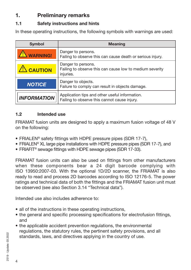## **1. Preliminary remarks**

#### **1.1 Safety instructions and hints**

In these operating instructions, the following symbols with warnings are used:

| <b>Symbol</b>      | <b>Meaning</b>                                                                                 |
|--------------------|------------------------------------------------------------------------------------------------|
| <b>WARNING!</b>    | Danger to persons.<br>Failing to observe this can cause death or serious injury.               |
| <b>CAUTION</b>     | Danger to persons.<br>Failing to observe this can cause low to medium severity<br>injuries.    |
| <b>NOTICE</b>      | Danger to objects.<br>Failure to comply can result in objects damage.                          |
| <b>INFORMATION</b> | Application tips and other useful information.<br>Failing to observe this cannot cause injury. |

#### **1.2 Intended use**

FRIAMAT fusion units are designed to apply a maximum fusion voltage of 48 V on the following:

- FRIALEN® safety fittings with HDPE pressure pipes (SDR 17-7),
- FRIALEN® XL large pipe installations with HDPE pressure pipes (SDR 17-7), and
- FRIAFIT® sewage fittings with HDPE sewage pipes (SDR 17-33).

FRIAMAT fusion units can also be used on fittings from other manufacturers when these components bear a 24 digit barcode complying with ISO 13950:2007-03. With the optional 1D/2D scanner, the FRIAMAT is also ready to read and process 2D barcodes according to ISO 12176-5. The power ratings and technical data of both the fittings and the FRIAMAT fusion unit must be observed (see also Section 3.14 "Technical data").

Intended use also includes adherence to:

- all of the instructions in these operating instructions,
- the general and specific processing specifications for electrofusion fittings, and
- the applicable accident prevention regulations, the environmental regulations, the statutory rules, the pertinent safety provisions, and all standards, laws, and directives applying in the country of use.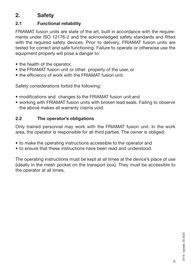## **2. Safety**

#### **2.1 Functional reliability**

FRIAMAT fusion units are state of the art, built in accordance with the requirements under ISO 12176-2 and the acknowledged safety standards and fitted with the required safety devices. Prior to delivery, FRIAMAT fusion units are tested for correct and safe functioning. Failure to operate or otherwise use the equipment properly will pose a danger to:

- the health of the operator,
- the FRIAMAT fusion unit or other property of the user, or
- the efficiency of work with the FRIAMAT fusion unit.

Safety considerations forbid the following:

- modifications and changes to the FRIAMAT fusion unit and
- working with FRIAMAT fusion units with broken lead seals. Failing to observe the above makes all warranty claims void.

#### **2.2 The operator's obligations**

Only trained personnel may work with the FRIAMAT fusion unit. In the work area, the operator is responsible for all third parties. The owner is obliged:

- to make the operating instructions accessible to the operator and
- to ensure that these instructions have been read and understood.

The operating instructions must be kept at all times at the device's place of use (ideally in the mesh pocket on the transport box). They must be accessible to the operator at all times.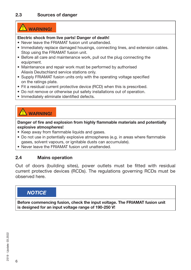## **WARNING!**

#### **Electric shock from live parts! Danger of death!**

- Never leave the FRIAMAT fusion unit unattended.
- Immediately replace damaged housings, connecting lines, and extension cables. Stop using the FRIAMAT fusion unit.
- Before all care and maintenance work, pull out the plug connecting the equipment.
- Maintenance and repair work must be performed by authorised Aliaxis Deutschland service stations only.
- Supply FRIAMAT fusion units only with the operating voltage specified on the ratings plate.
- Fit a residual current protective device (RCD) when this is prescribed.
- Do not remove or otherwise put safety installations out of operation.
- Immediately eliminate identified defects.

## **WARNING!**

**Danger of fire and explosion from highly flammable materials and potentially explosive atmospheres!**

- Keep away from flammable liquids and gases.
- Do not use in potentially explosive atmospheres (e.g. in areas where flammable gases, solvent vapours, or ignitable dusts can accumulate).
- Never leave the FRIAMAT fusion unit unattended.

#### **2.4 Mains operation**

Out of doors (building sites), power outlets must be fitted with residual current protective devices (RCDs). The regulations governing RCDs must be observed here.

#### *NOTICE*

**Before commencing fusion, check the input voltage. The FRIAMAT fusion unit is designed for an input voltage range of 190-250 V!**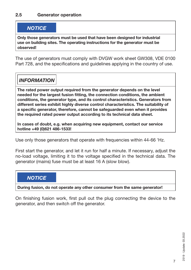#### *NOTICE*

**Only those generators must be used that have been designed for industrial use on building sites. The operating instructions for the generator must be observed!**

The use of generators must comply with DVGW work sheet GW308, VDE 0100 Part 728, and the specifications and guidelines applying in the country of use.

## *INFORMATION*

**The rated power output required from the generator depends on the level needed for the largest fusion fitting, the connection conditions, the ambient conditions, the generator type, and its control characteristics. Generators from different series exhibit highly diverse control characteristics. The suitability of a specific generator, therefore, cannot be safeguarded even when it provides the required rated power output according to its technical data sheet.**

**In cases of doubt, e.g. when acquiring new equipment, contact our service hotline +49 (0)621 486-1533!**

Use only those generators that operate with frequencies within 44-66 'Hz.

First start the generator, and let it run for half a minute. If necessary, adjust the no-load voltage, limiting it to the voltage specified in the technical data. The generator (mains) fuse must be at least 16 A (slow blow).

#### *NOTICE*

**During fusion, do not operate any other consumer from the same generator!**

On finishing fusion work, first pull out the plug connecting the device to the generator, and then switch off the generator.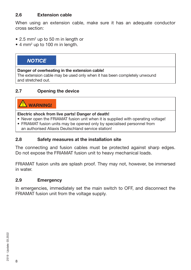#### **2.6 Extension cable**

When using an extension cable, make sure it has an adequate conductor cross section:

- 2.5 mm<sup>2</sup> up to 50 m in length or
- 4 mm<sup>2</sup> up to 100 m in length.

#### *NOTICE*

#### **Danger of overheating in the extension cable!**

The extension cable may be used only when it has been completely unwound and stretched out.

#### **2.7 Opening the device**

## **WARNING!**

#### **Electric shock from live parts! Danger of death!**

- Never open the FRIAMAT fusion unit when it is supplied with operating voltage!
- FRIAMAT fusion units may be opened only by specialised personnel from an authorised Aliaxis Deutschland service station!

#### **2.8 Safety measures at the installation site**

The connecting and fusion cables must be protected against sharp edges. Do not expose the FRIAMAT fusion unit to heavy mechanical loads.

FRIAMAT fusion units are splash proof. They may not, however, be immersed in water.

#### **2.9 Emergency**

In emergencies, immediately set the main switch to OFF, and disconnect the FRIAMAT fusion unit from the voltage supply.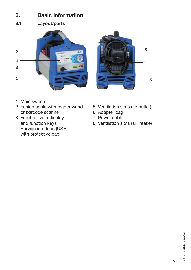## **3. Basic information**

**3.1 Layout/parts**





- 1 Main switch
- 2 Fusion cable with reader wand 5 Ventilation slots (air outlet)<br>or barcode scanner 6 Adapter bag or barcode scanner<br>
Front foil with display<br>
T Power cable
- 3 Front foil with display
- 4 Service interface (USB) with protective cap
- 
- 
- 
- and function keys 8 Ventilation slots (air intake)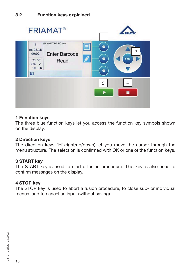

#### **1 Function keys**

The three blue function keys let you access the function key symbols shown on the display.

#### **2 Direction keys**

The direction keys (left/right/up/down) let you move the cursor through the menu structure. The selection is confirmed with OK or one of the function keys.

#### **3 START key**

The START key is used to start a fusion procedure. This key is also used to confirm messages on the display.

#### **4 STOP key**

The STOP key is used to abort a fusion procedure, to close sub- or individual menus, and to cancel an input (without saving).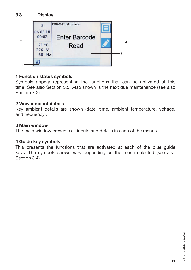

#### **1 Function status symbols**

Symbols appear representing the functions that can be activated at this time. See also Section 3.5. Also shown is the next due maintenance (see also Section 7.2).

#### **2 View ambient details**

Key ambient details are shown (date, time, ambient temperature, voltage, and frequency).

#### **3 Main window**

The main window presents all inputs and details in each of the menus.

#### **4 Guide key symbols**

This presents the functions that are activated at each of the blue guide keys. The symbols shown vary depending on the menu selected (see also Section 3.4).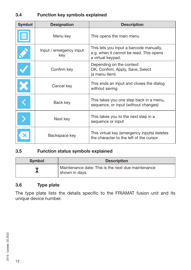#### **3.4 Function key symbols explained**

| <b>Symbol</b> | <b>Designation</b>             | <b>Description</b>                                                                                      |
|---------------|--------------------------------|---------------------------------------------------------------------------------------------------------|
|               | Menu key                       | This opens the main menu                                                                                |
|               | Input / emergency input<br>key | This lets you input a barcode manually,<br>e.g. when it cannot be read. This opens<br>a virtual keypad. |
|               | Confirm key                    | Depending on the context:<br>OK, Confirm, Apply, Save, Select<br>(a menu item)                          |
|               | Cancel key                     | This ends an input and closes the dialog<br>without saving                                              |
|               | Back key                       | This takes you one step back in a menu,<br>sequence, or input (without changes)                         |
|               | Next key                       | This takes you to the next step in a<br>sequence or input                                               |
|               | Backspace key                  | This virtual key (emergency inputs) deletes<br>the character to the left of the cursor.                 |

#### **3.5 Function status symbols explained**

| <b>Symbol</b> | <b>Description</b>                                                   |
|---------------|----------------------------------------------------------------------|
|               | Maintenance date: This is the next due maintenance<br>shown in days. |

#### **3.6 Type plate**

The type plate lists the details specific to the FRIAMAT fusion unit and its unique device number.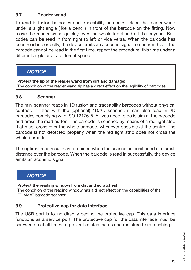#### **3.7 Reader wand**

To read in fusion barcodes and traceability barcodes, place the reader wand under a slight angle (like a pencil) in front of the barcode on the fitting. Now move the reader wand quickly over the whole label and a little beyond. Barcodes can be read in from right to left or vice versa. When the barcode has been read in correctly, the device emits an acoustic signal to confirm this. If the barcode cannot be read in the first time, repeat the procedure, this time under a different angle or at a different speed.

#### *NOTICE*

**Protect the tip of the reader wand from dirt and damage!** The condition of the reader wand tip has a direct effect on the legibility of barcodes.

#### **3.8 Scanner**

The mini scanner reads in 1D fusion and traceability barcodes without physical contact. If fitted with the (optional) 1D/2D scanner, it can also read in 2D barcodes complying with ISO 12176-5. All you need to do is aim at the barcode and press the read button. The barcode is scanned by means of a red light strip that must cross over the whole barcode, whenever possible at the centre. The barcode is not detected properly when the red light strip does not cross the whole barcode.

The optimal read results are obtained when the scanner is positioned at a small distance over the barcode. When the barcode is read in successfully, the device emits an acoustic signal.

#### *NOTICE*

**Protect the reading window from dirt and scratches!** The condition of the reading window has a direct effect on the capabilities of the FRIAMAT barcode scanner.

#### **3.9 Protective cap for data interface**

The USB port is found directly behind the protective cap. This data interface functions as a service port. The protective cap for the data interface must be screwed on at all times to prevent contaminants and moisture from reaching it.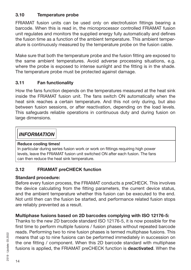#### **3.10 Temperature probe**

FRIAMAT fusion units can be used only on electrofusion fittings bearing a barcode. When this is read in, the microprocessor controlled FRIAMAT fusion unit regulates and monitors the supplied energy fully automatically and defines the fusion time as a function of the ambient temperature. This ambient temperature is continuously measured by the temperature probe on the fusion cable.

Make sure that both the temperature probe and the fusion fitting are exposed to the same ambient temperatures. Avoid adverse processing situations, e.g. where the probe is exposed to intense sunlight and the fitting is in the shade. The temperature probe must be protected against damage.

#### **3.11 Fan functionality**

How the fans function depends on the temperatures measured at the heat sink inside the FRIAMAT fusion unit. The fans switch ON automatically when the heat sink reaches a certain temperature. And this not only during, but also between fusion sessions, or after reactivation, depending on the load levels. This safeguards reliable operations in continuous duty and during fusion on large dimensions.

## *INFORMATION*

#### **Reduce cooling times!**

In particular during series fusion work or work on fittings requiring high power levels, leave the FRIAMAT fusion unit switched ON after each fusion. The fans can then reduce the heat sink temperature.

#### **3.12 FRIAMAT preCHECK function**

#### **Standard procedure:**

Before every fusion process, the FRIAMAT conducts a preCHECK. This involves the device calculating from the fitting parameters, the current device status, and the ambient temperature whether this fusion can be executed to the end. Not until then can the fusion be started, and performance related fusion stops are reliably prevented as a result.

#### **Multiphase fusions based on 2D barcodes complying with ISO 12176-5:**

Thanks to the new 2D barcode standard ISO 12176-5, it is now possible for the first time to perform multiple fusions / fusion phases without repeated barcode reads. Performing two to nine fusion phases is termed multiphase fusions. This means that up to nine fusions can be performed immediately in succession on the one fitting / component. When this 2D barcode standard with multiphase fusions is applied, the FRIAMAT preCHECK function is **deactivated**. When the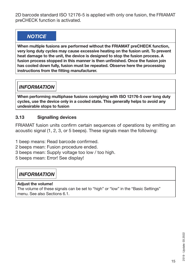2D barcode standard ISO 12176-5 is applied with only one fusion, the FRIAMAT preCHECK function is activated.

## *NOTICE*

**When multiple fusions are performed without the FRIAMAT preCHECK function, very long duty cycles may cause excessive heating on the fusion unit. To prevent heat damage to the unit, the device is designed to stop the fusion process. A fusion process stopped in this manner is then unfinished. Once the fusion join has cooled down fully, fusion must be repeated. Observe here the processing instructions from the fitting manufacturer.**

## *INFORMATION*

**When performing multiphase fusions complying with ISO 12176-5 over long duty cycles, use the device only in a cooled state. This generally helps to avoid any undesirable stops to fusion**

#### **3.13 Signalling devices**

FRIAMAT fusion units confirm certain sequences of operations by emitting an acoustic signal (1, 2, 3, or 5 beeps). These signals mean the following:

- 1 beep means: Read barcode confirmed.
- 2 beeps mean: Fusion procedure ended.
- 3 beeps mean: Supply voltage too low / too high.
- 5 beeps mean: Error! See display!

## *INFORMATION*

#### **Adjust the volume!**

The volume of these signals can be set to "high" or "low" in the "Basic Settings" menu. See also Sections 6.1.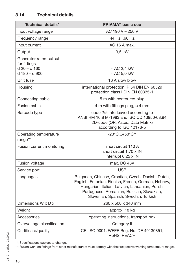| Technical details*                                                        | <b>FRIAMAT basic cco</b>                                                                                                                                                                                                                            |  |
|---------------------------------------------------------------------------|-----------------------------------------------------------------------------------------------------------------------------------------------------------------------------------------------------------------------------------------------------|--|
| Input voltage range                                                       | AC 190 V - 250 V                                                                                                                                                                                                                                    |  |
| Frequency range                                                           | 44 Hz66 Hz                                                                                                                                                                                                                                          |  |
| Input current                                                             | AC 16 A max.                                                                                                                                                                                                                                        |  |
| Output                                                                    | 3,5 kW                                                                                                                                                                                                                                              |  |
| Generator rated output<br>for fittings<br>$d$ 20 – d 160<br>d 180 - d 900 | $\sim$ AC 2.4 kW<br>$~\sim$ AC 5,0 kW                                                                                                                                                                                                               |  |
| Unit fuse                                                                 | 16 A slow blow                                                                                                                                                                                                                                      |  |
| Housing                                                                   | international protection IP 54 DIN EN 60529<br>protection class I DIN EN 60335-1                                                                                                                                                                    |  |
| Connecting cable                                                          | 5 m with contoured plug                                                                                                                                                                                                                             |  |
| <b>Fusion cable</b>                                                       | 4 m with fittings plug, ø 4 mm                                                                                                                                                                                                                      |  |
| Barcode type                                                              | code 2/5 interleaved according to<br>ANSI HM 10.8 M-1983 and ISO CD 13950/08.94<br>2D-code (QR; Aztec; Data Matrix)<br>according to ISO 12176-5                                                                                                     |  |
| Operating temperature<br>range**                                          | $-20^{\circ}$ C $+50^{\circ}$ C**                                                                                                                                                                                                                   |  |
| Fusion current monitoring                                                 | short circuit 110 A<br>short circuit 1.70 x IN<br>interrupt 0.25 x IN                                                                                                                                                                               |  |
| Fusion voltage                                                            | max. DC 48V                                                                                                                                                                                                                                         |  |
| Service port                                                              | <b>USB</b>                                                                                                                                                                                                                                          |  |
| Languages                                                                 | Bulgarian, Chinese, Croatian, Czech, Danish, Dutch,<br>English, Estonian, Finnish, French, German, Hebrew,<br>Hungarian, Italian, Latvian, Lithuanian, Polish,<br>Portuguese, Romanian, Russian, Slovakian,<br>Slovenian, Spanish, Swedish, Turkish |  |
| Dimensions $W \times D \times H$                                          | 260 x 500 x 340 mm                                                                                                                                                                                                                                  |  |
| Weight                                                                    | approx. 18 kg                                                                                                                                                                                                                                       |  |
| Accessories                                                               | operating instructions, transport box                                                                                                                                                                                                               |  |
| Overvoltage classification                                                | Category II                                                                                                                                                                                                                                         |  |
| Certificate/quality                                                       | CE, ISO 9001, WEEE Reg. No. DE 49130851,<br>RoHS, REACH                                                                                                                                                                                             |  |

\*: Specifications subject to change.

\*\*: Fusion work on fittings from other manufacturers must comply with their respective working temperature ranges!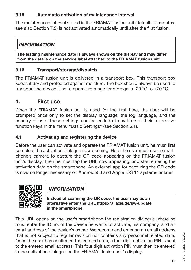#### **3.15 Automatic activation of maintenance interval**

The maintenance interval stored in the FRIAMAT fusion unit (default: 12 months, see also Section 7.2) is not activated automatically until after the first fusion.

## *INFORMATION*

**The leading maintenance date is always shown on the display and may differ from the details on the service label attached to the FRIAMAT fusion unit!**

#### **3.16 Transport/storage/dispatch**

The FRIAMAT fusion unit is delivered in a transport box. This transport box keeps it dry and protected against moisture. The box should always be used to transport the device. The temperature range for storage is -20  $^{\circ}$ C to +70  $^{\circ}$ C.

## **4. First use**

When the FRIAMAT fusion unit is used for the first time, the user will be prompted once only to set the display language, the log language, and the country of use. These settings can be edited at any time at their respective function keys in the menu "Basic Settings" (see Section 6.1).

#### **4.1 Activating and registering the device**

Before the user can activate and operate the FRIAMAT fusion unit, he must first complete the activation dialogue now opening. Here the user must use a smartphone's camera to capture the QR code appearing on the FRIAMAT fusion unit's display. Then he must tap the URL now appearing, and start entering the activation data on the smartphone. An external app for capturing the QR code is now no longer necessary on Android 9.0 and Apple iOS 11 systems or later.



*INFORMATION*

**Instead of scanning the QR code, the user may as an alternative enter the URL https://aliaxis.de/sw-update in the smartphone.**

This URL opens on the user's smartphone the registration dialogue where he must enter the ID no. of the device he wants to activate, his company, and an email address of the device's owner. We recommend entering an email address that is not subject to regular revision nor contains any personnel related data. Once the user has confirmed the entered data, a four digit activation PIN is sent to the entered email address. This four digit activation PIN must then be entered in the activation dialogue on the FRIAMAT fusion unit's display.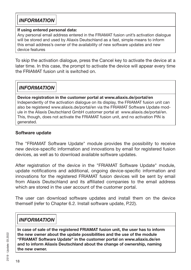## *INFORMATION*

#### **If using entered personal data:**

Any personal email address entered in the FRIAMAT fusion unit's activation dialogue will be stored and used by Aliaxis Deutschland as a fast, simple means to inform this email address's owner of the availability of new software updates and new device features

To skip the activation dialogue, press the Cancel key to activate the device at a later time. In this case, the prompt to activate the device will appear every time the FRIAMAT fusion unit is switched on.

*INFORMATION*

**Device registration in the customer portal at www.aliaxis.de/portal/en** Independently of the activation dialogue on its display, the FRIAMAT fusion unit can also be registered www.aliaxis.de/portal/en via the FRIAMAT Software Update module in the Aliaxis Deutschland GmbH customer portal at www.aliaxis.de/portal/en. This, though, does not activate the FRIAMAT fusion unit, and no activation PIN is generated.

#### **Software update**

The "FRIAMAT Software Update" module provides the possibility to receive new device-specific information and innovations by email for registered fusion devices, as well as to download available software updates.

After registration of the device in the "FRIAMAT Software Update" module, update notifications and additional, ongoing device-specific information and innovations for the registered FRIAMAT fusion devices will be sent by email from Aliaxis Deutschland and its affiliated companies to the email address which are stored in the user account of the customer portal.

The user can download software updates and install them on the device themself (refer to Chapter 6.2. Install software update, P.22).

## *INFORMATION*

**In case of sale of the registered FRIAMAT fusion unit, the user has to inform the new owner about the update possibilities and the use of the module "FRIAMAT Software Update" in the customer portal on www.aliaxis.de/en and to inform Aliaxis Deutschland about the change of ownership, naming the new owner.**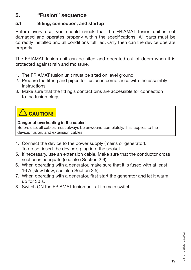## **5. "Fusion" sequence**

#### **5.1 Siting, connection, and startup**

Before every use, you should check that the FRIAMAT fusion unit is not damaged and operates properly within the specifications. All parts must be correctly installed and all conditions fulfilled. Only then can the device operate properly.

The FRIAMAT fusion unit can be sited and operated out of doors when it is protected against rain and moisture.

- 1. The FRIAMAT fusion unit must be sited on level ground.
- 2. Prepare the fitting and pipes for fusion in compliance with the assembly instructions.
- 3. Make sure that the fitting's contact pins are accessible for connection to the fusion plugs.

## **CAUTION!**

#### **Danger of overheating in the cables!**

Before use, all cables must always be unwound completely. This applies to the device, fusion, and extension cables.

- 4. Connect the device to the power supply (mains or generator). To do so, insert the device's plug into the socket.
- 5. If necessary, use an extension cable. Make sure that the conductor cross section is adequate (see also Section 2.6).
- 6. When operating with a generator, make sure that it is fused with at least 16 A (slow blow, see also Section 2.5).
- 7. When operating with a generator, first start the generator and let it warm up for 30 s.
- 8. Switch ON the FRIAMAT fusion unit at its main switch.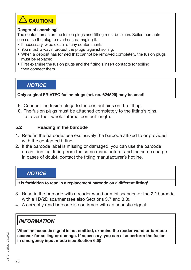

#### **Danger of scorching!**

The contact areas on the fusion plugs and fitting must be clean. Soiled contacts can cause the plug to overheat, damaging it.

- If necessary, wipe clean of any contaminants.
- You must always protect the plugs against soiling.
- When a deposit has formed that cannot be removed completely, the fusion plugs must be replaced.
- First examine the fusion plugs and the fitting's insert contacts for soiling, then connect them.

*NOTICE*

**Only original FRIATEC fusion plugs (art. no. 624529) may be used!**

- 9. Connect the fusion plugs to the contact pins on the fitting.
- 10. The fusion plugs must be attached completely to the fitting's pins, i.e. over their whole internal contact length.

#### **5.2 Reading in the barcode**

- 1. Read in the barcode: use exclusively the barcode affixed to or provided with the contacted fitting.
- 2. If the barcode label is missing or damaged, you can use the barcode on an identical fitting from the same manufacturer and the same charge. In cases of doubt, contact the fitting manufacturer's hotline.

#### *NOTICE*

**It is forbidden to read in a replacement barcode on a different fitting!**

- 3. Read in the barcode with a reader wand or mini scanner, or the 2D barcode with a 1D/2D scanner (see also Sections 3.7 and 3.8).
- 4. A correctly read barcode is confirmed with an acoustic signal.

## *INFORMATION*

**When an acoustic signal is not emitted, examine the reader wand or barcode scanner for soiling or damage. If necessary, you can also perform the fusion in emergency input mode (see Section 6.5)!**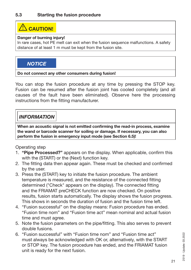## **XIN** CAUTION!

#### **Danger of burning injury!**

In rare cases, hot PE melt can exit when the fusion sequence malfunctions. A safety distance of at least 1 m must be kept from the fusion site.

#### *NOTICE*

#### **Do not connect any other consumers during fusion!**

You can stop the fusion procedure at any time by pressing the STOP key. Fusion can be resumed after the fusion joint has cooled completely (and all causes of the fault have been eliminated). Observe here the processing instructions from the fitting manufacturer.

## *INFORMATION*

**When an acoustic signal is not emitted confirming the read-in process, examine the wand or barcode scanner for soiling or damage. If necessary, you can also perform the fusion in emergency input mode (see Section 6.5)!**

Operating step

- 1. **"Pipe Processed?"** appears on the display. When applicable, confirm this with the (START) or the (Next) function key.
- 2. The fitting data then appear again. These must be checked and confirmed by the user.
- 3. Press the (START) key to initiate the fusion procedure. The ambient temperature is measured, and the resistance of the connected fitting determined ("Check" appears on the display). The connected fitting and the FRIAMAT preCHECK function are now checked. On positive results, fusion starts automatically. The display shows the fusion progress. This shows in seconds the duration of fusion and the fusion time left.
- 4. "Fusion successful" on the display means: Fusion procedure has ended. "Fusion time nom" and "Fusion time act" mean nominal and actual fusion time and must agree.
- 5. Note the fusion parameters on the pipe/fitting. This also serves to prevent double fusions.
- 6. "Fusion successful" with "Fusion time nom" and "Fusion time act" must always be acknowledged with OK or, alternatively, with the START or STOP key. The fusion procedure has ended, and the FRIAMAT fusion unit is ready for the next fusion.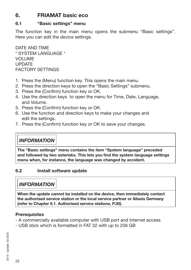## **6. FRIAMAT basic eco**

#### **6.1 "Basic settings" menu**

The function key in the main menu opens the submenu "Basic settings". Here you can edit the device settings.

DATE AND TIME \* SYSTEM LANGUAGE \* VOLUME UPDATE FACTORY SETTINGS

- 1. Press the (Menu) function key. This opens the main menu.
- 2. Press the direction keys to open the "Basic Settings" submenu.
- 3. Press the (Confirm) function key or OK.
- 4. Use the direction keys to open the menu for Time, Date, Language, and Volume.
- 5. Press the (Confirm) function key or OK.
- 6. Use the function and direction keys to make your changes and edit the settings.
- 7. Press the (Confirm) function key or OK to save your changes.

## *INFORMATION*

**The "Basic settings" menu contains the item "System language" preceded and followed by two asterisks. This lets you find the system language settings menu when, for instance, the language was changed by accident.**

#### **6.2 Install software update**

## *INFORMATION*

**When the update cannot be installed on the device, then immediately contact the authorised service station or the local service partner or Aliaxis Germany (refer to Chapter 9.1. Authorised service stations, P.30).**

#### **Prerequisites**

- A commercially available computer with USB port and Internet access
- USB stick which is formatted in FAT 32 with up to 256 GB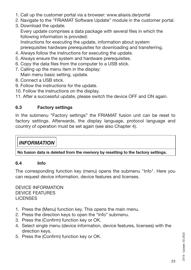- 1. Call up the customer portal via a browser: www.aliaxis.de/portal
- 2. Navigate to the "FRIAMAT Software Update" module in the customer portal.
- 3. Download the update.

Every update comprises a data package with several files in which the following information is provided:

Instructions for executing the update, information about system prerequisites hardware prerequisites for downloading and transferring.

- 4. Always follow the instructions for executing the update.
- 5. Always ensure the system and hardware prerequisites.
- 6. Copy the data files from the computer to a USB stick.
- 7. Calling up the menu item in the display: Main menu basic setting, update.
- 8. Connect a USB stick.
- 9. Follow the instructions for the update.
- 10. Follow the instructions on the display.

11. After a successful update, please switch the device OFF and ON again.

#### **6.3 Factory settings**

In the submenu "Factory settings" the FRIAMAT fusion unit can be reset to factory settings. Afterwards, the display language, protocol language and country of operation must be set again (see also Chapter 4).

## *INFORMATION*

**No fusion data is deleted from the memory by resetting to the factory settings.**

#### **6.4 Info**

The corresponding function key (menu) opens the submenu "Info". Here you can request device information, device features and licenses.

DEVICE INFORMATION DEVICE FEATURES **LICENSES** 

- 1. Press the (Menu) function key. This opens the main menu.
- 2. Press the direction keys to open the "Info" submenu.
- 3. Press the (Confirm) function key or OK.
- 4. Select single menu (device information, device features, licenses) with the direction keys.
- 5. Press the (Confirm) function key or OK.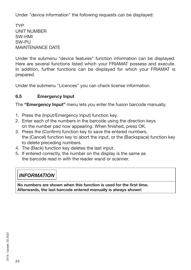Under "device information" the following requests can be displayed:

TYP UNIT NUMBER SW-HMI SW-PU MAINTENANCE DATE

Under the submenu "device features" function information can be displayed. Here are several functions listed which your FRIAMAT possess and execute. In addition, further functions can be displayed for which your FRIAMAT is prepared.

Under the submenu "Licences" you can check license information.

#### **6.5 Emergency Input**

The **"Emergency Input"** menu lets you enter the fusion barcode manually.

- 1. Press the (Input/Emergency Input) function key.
- 2. Enter each of the numbers in the barcode using the direction keys on the number pad now appearing. When finished, press OK.
- 3. Press the (Confirm) function key to save the entered numbers, the (Cancel) function key to abort the input, or the (Backspace) function key to delete preceding numbers.
- 4. The (Back) function key deletes the last input.
- 5. If entered correctly, the number on the display is the same as the barcode read in with the reader wand or scanner.

## *INFORMATION*

**No numbers are shown when this function is used for the first time. Afterwards, the last barcode entered manually is always shown!**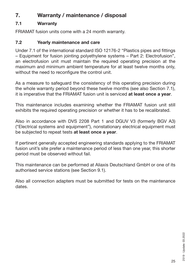## **7. Warranty / maintenance / disposal**

#### **7.1 Warranty**

FRIAMAT fusion units come with a 24 month warranty.

#### **7.2 Yearly maintenance and care**

Under 7.1 of the international standard ISO 12176-2 "Plastics pipes and fittings – Equipment for fusion jointing polyethylene systems – Part 2: Electrofusion", an electrofusion unit must maintain the required operating precision at the maximum and minimum ambient temperature for at least twelve months only, without the need to reconfigure the control unit.

As a measure to safeguard the consistency of this operating precision during the whole warranty period beyond these twelve months (see also Section 7.1), it is imperative that the FRIAMAT fusion unit is serviced **at least once a year**.

This maintenance includes examining whether the FRIAMAT fusion unit still exhibits the required operating precision or whether it has to be recalibrated.

Also in accordance with DVS 2208 Part 1 and DGUV V3 (formerly BGV A3) ("Electrical systems and equipment"), nonstationary electrical equipment must be subjected to repeat tests **at least once a year**.

If pertinent generally accepted engineering standards applying to the FRIAMAT fusion unit's site prefer a maintenance period of less than one year, this shorter period must be observed without fail.

This maintenance can be performed at Aliaxis Deutschland GmbH or one of its authorised service stations (see Section 9.1).

Also all connection adapters must be submitted for tests on the maintenance dates.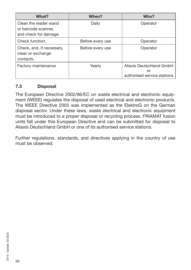| What?                                                                 | When?            | Who?                                                          |
|-----------------------------------------------------------------------|------------------|---------------------------------------------------------------|
| Clean the reader wand<br>or barcode scanner,<br>and check for damage. | Daily            | Operator                                                      |
| Check function.                                                       | Before every use | Operator                                                      |
| Check, and, if necessary,<br>clean or exchange<br>contacts.           | Before every use | Operator                                                      |
| Factory maintenance                                                   | Yearly           | Aliaxis Deutschland GmbH<br>or<br>authorised service stations |

#### **7.3 Disposal**

The European Directive 2002/96/EC on waste electrical and electronic equipment (WEEE) regulates the disposal of used electrical and electronic products. The WEEE Directive 2005 was implemented as the ElektroG on the German disposal sector. Under these laws, waste electrical and electronic equipment must be introduced to a proper disposal or recycling process. FRIAMAT fusion units fall under this European Directive and can be submitted for disposal to Aliaxis Deutschland GmbH or one of its authorised service stations.

Further regulations, standards, and directives applying in the country of use must be observed.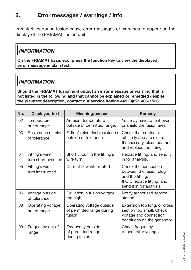## **8. Error messages / warnings / info**

Irregularities during fusion cause error messages or warnings to appear on the display of the FRIAMAT fusion unit.

## *INFORMATION*

**On the FRIAMAT basic eco, press the function key to view the displayed error message in plain text!**

## *INFORMATION*

#### **Should the FRIAMAT fusion unit output an error message or warning that is not listed in the following and that cannot be explained or remedied despite the plaintext description, contact our service hotline +49 (0)621 486-1533!**

| No.             | <b>Displayed text</b>                  | <b>Meaning/causes</b>                                             | <b>Remedy</b>                                                                                                                  |
|-----------------|----------------------------------------|-------------------------------------------------------------------|--------------------------------------------------------------------------------------------------------------------------------|
| 02 <sub>2</sub> | Temperature<br>out of range            | Ambient temperature<br>outside of permitted range.                | You may have to tent over<br>or shield the fusion area                                                                         |
| 03              | Resistance outside<br>of tolerance     | Fitting's electrical resistance<br>outside of tolerance.          | Check that contacts<br>sit firmly and are clean.<br>If necessary, clean contacts<br>and replace the fitting.                   |
| 04              | Fitting's wire<br>turn short circuited | Short circuit in the fitting's<br>wire turn.                      | Replace fitting, and send it<br>in for analysis.                                                                               |
| 05              | Fitting's wire<br>turn interrupted     | Current flow interrupted                                          | Check the connection<br>between the fusion plug<br>and the fitting.<br>If OK, replace fitting, and<br>send it in for analysis. |
| 06              | Voltage outside<br>of tolerance        | Deviation in fusion voltage<br>too high.                          | Notify authorised service<br>station.                                                                                          |
| 08              | Operating voltage<br>out of range      | Operating voltage outside<br>of permitted range during<br>fusion. | Extension too long, or cross<br>section too small. Check<br>voltage and connection<br>conditions on the generator.             |
| 09              | Frequency out of<br>range              | Frequency outside<br>of permitted range<br>during fusion.         | Check frequency<br>of generator voltage                                                                                        |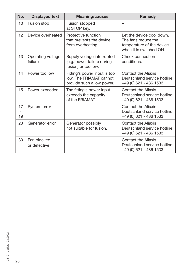| No.      | <b>Displayed text</b>        | <b>Meaning/causes</b>                                                                | <b>Remedy</b>                                                                                            |
|----------|------------------------------|--------------------------------------------------------------------------------------|----------------------------------------------------------------------------------------------------------|
| 10       | Fusion stop                  | Fusion stopped<br>at STOP key.                                                       |                                                                                                          |
| 12       | Device overheated            | Protective function<br>that prevents the device<br>from overheating.                 | Let the device cool down.<br>The fans reduce the<br>temperature of the device<br>when it is switched ON. |
| 13       | Operating voltage<br>failure | Supply voltage interrupted<br>(e.g. power failure during<br>fusion) or too low.      | Check connection<br>conditions.                                                                          |
| 14       | Power too low                | Fitting's power input is too<br>low. The FRIAMAT cannot<br>provide such a low power. | Contact the Aliaxis<br>Deutschland service hotline:<br>+49 (0) 621 - 486 1533                            |
| 15       | Power exceeded               | The fitting's power input<br>exceeds the capacity<br>of the FRIAMAT.                 | <b>Contact the Aliaxis</b><br>Deutschland service hotline:<br>+49 (0) 621 - 486 1533                     |
| 17<br>19 | System error                 |                                                                                      | Contact the Aliaxis<br>Deutschland service hotline:<br>+49 (0) 621 - 486 1533                            |
| 23       | Generator error              | Generator possibly<br>not suitable for fusion.                                       | <b>Contact the Aliaxis</b><br>Deutschland service hotline:<br>+49 (0) 621 - 486 1533                     |
| 30       | Fan blocked<br>or defective  |                                                                                      | Contact the Aliaxis<br>Deutschland service hotline:<br>+49 (0) 621 - 486 1533                            |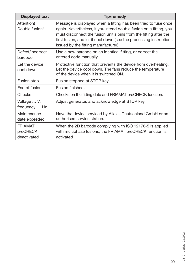| <b>Displayed text</b>                     | <b>Tip/remedy</b>                                                                                                                                                                                                                                                                                                         |
|-------------------------------------------|---------------------------------------------------------------------------------------------------------------------------------------------------------------------------------------------------------------------------------------------------------------------------------------------------------------------------|
| Attention!<br>Double fusion!              | Message is displayed when a fitting has been tried to fuse once<br>again. Nevertheless, if you intend double fusion on a fitting, you<br>must disconnect the fusion unit's pins from the fitting after the<br>first fusion, and let it cool down (see the processing instructions<br>issued by the fitting manufacturer). |
| Defect/incorrect<br>barcode               | Use a new barcode on an identical fitting, or correct the<br>entered code manually.                                                                                                                                                                                                                                       |
| Let the device<br>cool down.              | Protective function that prevents the device from overheating.<br>Let the device cool down. The fans reduce the temperature<br>of the device when it is switched ON.                                                                                                                                                      |
| Fusion stop                               | Fusion stopped at STOP key.                                                                                                                                                                                                                                                                                               |
| End of fusion                             | Fusion finished.                                                                                                                                                                                                                                                                                                          |
| Checks                                    | Checks on the fitting data and FRIAMAT preCHECK function.                                                                                                                                                                                                                                                                 |
| Voltage  V;<br>frequency  Hz              | Adjust generator, and acknowledge at STOP key.                                                                                                                                                                                                                                                                            |
| Maintenance<br>date exceeded              | Have the device serviced by Aliaxis Deutschland GmbH or an<br>authorised service station.                                                                                                                                                                                                                                 |
| <b>FRIAMAT</b><br>preCHECK<br>deactivated | When the 2D barcode complying with ISO 12176-5 is applied<br>with multiphase fusions, the FRIAMAT preCHECK function is<br>activated                                                                                                                                                                                       |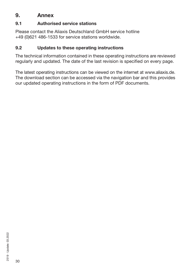## **9. Annex**

#### **9.1 Authorised service stations**

Please contact the Aliaxis Deutschland GmbH service hotline +49 (0)621 486-1533 for service stations worldwide.

#### **9.2 Updates to these operating instructions**

The technical information contained in these operating instructions are reviewed regularly and updated. The date of the last revision is specified on every page.

The latest operating instructions can be viewed on the internet at www.aliaxis.de. The download section can be accessed via the navigation bar and this provides our updated operating instructions in the form of PDF documents.